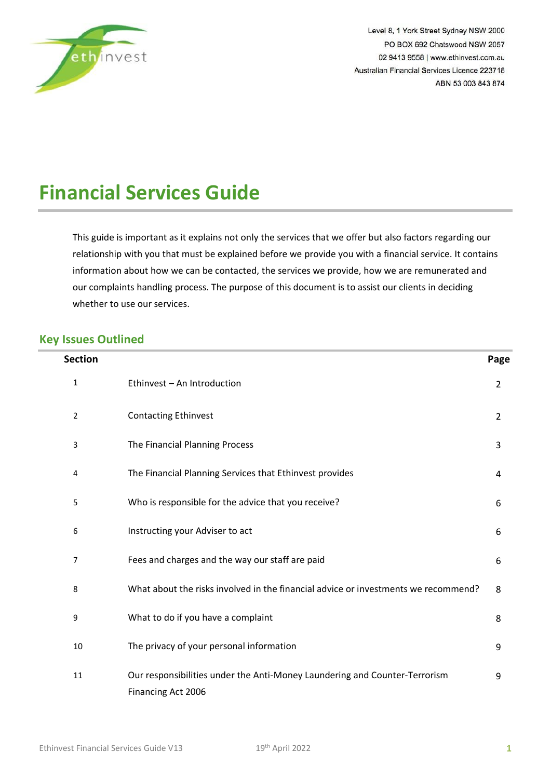

Level 8, 1 York Street Sydney NSW 2000 PO BOX 692 Chatswood NSW 2057 02 9413 9558 | www.ethinvest.com.au Australian Financial Services Licence 223718 ABN 53 003 843 874

# **Financial Services Guide**

This guide is important as it explains not only the services that we offer but also factors regarding our relationship with you that must be explained before we provide you with a financial service. It contains information about how we can be contacted, the services we provide, how we are remunerated and our complaints handling process. The purpose of this document is to assist our clients in deciding whether to use our services.

## **Key Issues Outlined**

| <b>Section</b> |                                                                                                  | Page           |
|----------------|--------------------------------------------------------------------------------------------------|----------------|
| 1              | Ethinvest - An Introduction                                                                      | $\overline{2}$ |
| 2              | <b>Contacting Ethinvest</b>                                                                      | $\overline{2}$ |
| 3              | The Financial Planning Process                                                                   | 3              |
| 4              | The Financial Planning Services that Ethinvest provides                                          | 4              |
| 5              | Who is responsible for the advice that you receive?                                              | 6              |
| 6              | Instructing your Adviser to act                                                                  | 6              |
| 7              | Fees and charges and the way our staff are paid                                                  | 6              |
| 8              | What about the risks involved in the financial advice or investments we recommend?               | 8              |
| 9              | What to do if you have a complaint                                                               | 8              |
| 10             | The privacy of your personal information                                                         | 9              |
| 11             | Our responsibilities under the Anti-Money Laundering and Counter-Terrorism<br>Financing Act 2006 | 9              |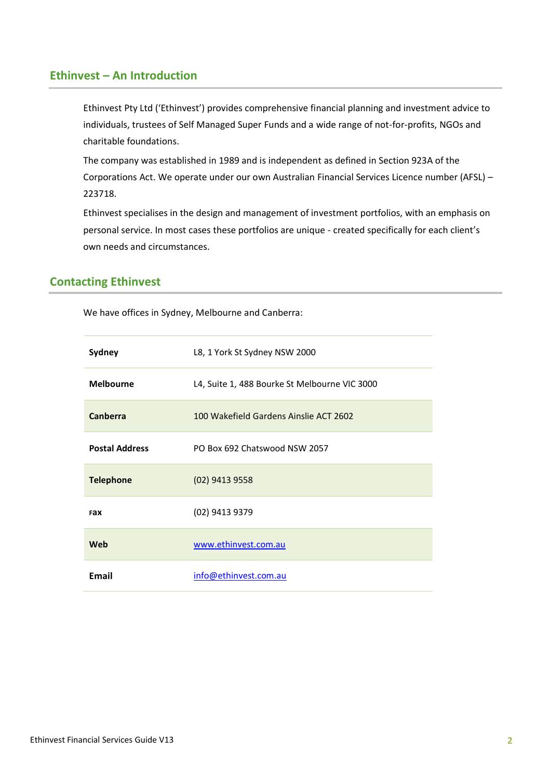## <span id="page-1-1"></span><span id="page-1-0"></span>**Ethinvest – An Introduction**

Ethinvest Pty Ltd ('Ethinvest') provides comprehensive financial planning and investment advice to individuals, trustees of Self Managed Super Funds and a wide range of not-for-profits, NGOs and charitable foundations.

The company was established in 1989 and is independent as defined in Section 923A of the Corporations Act. We operate under our own Australian Financial Services Licence number (AFSL) – 223718.

Ethinvest specialises in the design and management of investment portfolios, with an emphasis on personal service. In most cases these portfolios are unique - created specifically for each client's own needs and circumstances.

# <span id="page-1-3"></span><span id="page-1-2"></span>**Contacting Ethinvest**

We have offices in Sydney, Melbourne and Canberra:

| Sydney                | L8, 1 York St Sydney NSW 2000                 |
|-----------------------|-----------------------------------------------|
| <b>Melbourne</b>      | L4, Suite 1, 488 Bourke St Melbourne VIC 3000 |
| Canberra              | 100 Wakefield Gardens Ainslie ACT 2602        |
| <b>Postal Address</b> | PO Box 692 Chatswood NSW 2057                 |
| <b>Telephone</b>      | (02) 9413 9558                                |
| <b>Fax</b>            | (02) 9413 9379                                |
| Web                   | www.ethinvest.com.au                          |
| <b>Email</b>          | info@ethinvest.com.au                         |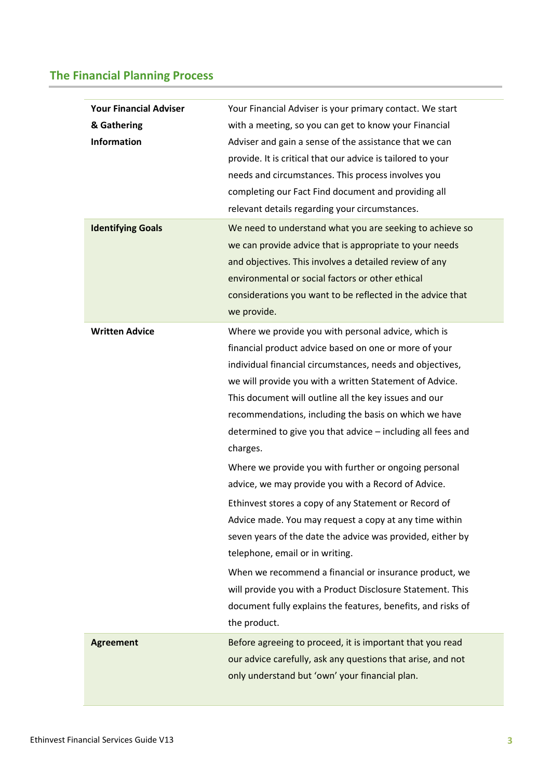# <span id="page-2-1"></span><span id="page-2-0"></span>**The Financial Planning Process**

| <b>Your Financial Adviser</b><br>& Gathering<br><b>Information</b><br><b>Identifying Goals</b> | Your Financial Adviser is your primary contact. We start<br>with a meeting, so you can get to know your Financial<br>Adviser and gain a sense of the assistance that we can<br>provide. It is critical that our advice is tailored to your<br>needs and circumstances. This process involves you<br>completing our Fact Find document and providing all<br>relevant details regarding your circumstances.<br>We need to understand what you are seeking to achieve so<br>we can provide advice that is appropriate to your needs<br>and objectives. This involves a detailed review of any<br>environmental or social factors or other ethical |
|------------------------------------------------------------------------------------------------|------------------------------------------------------------------------------------------------------------------------------------------------------------------------------------------------------------------------------------------------------------------------------------------------------------------------------------------------------------------------------------------------------------------------------------------------------------------------------------------------------------------------------------------------------------------------------------------------------------------------------------------------|
|                                                                                                | considerations you want to be reflected in the advice that<br>we provide.                                                                                                                                                                                                                                                                                                                                                                                                                                                                                                                                                                      |
| <b>Written Advice</b>                                                                          | Where we provide you with personal advice, which is<br>financial product advice based on one or more of your<br>individual financial circumstances, needs and objectives,<br>we will provide you with a written Statement of Advice.<br>This document will outline all the key issues and our<br>recommendations, including the basis on which we have<br>determined to give you that advice - including all fees and<br>charges.                                                                                                                                                                                                              |
|                                                                                                | Where we provide you with further or ongoing personal<br>advice, we may provide you with a Record of Advice.<br>Ethinvest stores a copy of any Statement or Record of<br>Advice made. You may request a copy at any time within<br>seven years of the date the advice was provided, either by<br>telephone, email or in writing.<br>When we recommend a financial or insurance product, we<br>will provide you with a Product Disclosure Statement. This<br>document fully explains the features, benefits, and risks of<br>the product.                                                                                                       |
| <b>Agreement</b>                                                                               | Before agreeing to proceed, it is important that you read<br>our advice carefully, ask any questions that arise, and not<br>only understand but 'own' your financial plan.                                                                                                                                                                                                                                                                                                                                                                                                                                                                     |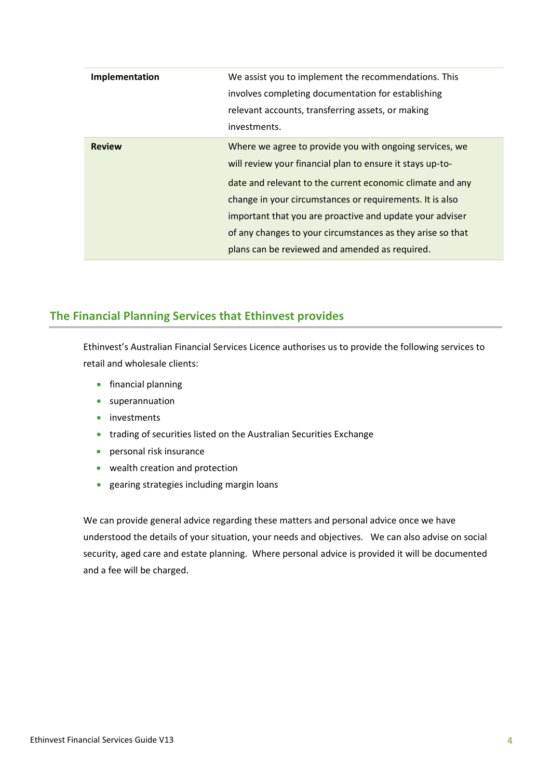| Implementation | We assist you to implement the recommendations. This<br>involves completing documentation for establishing<br>relevant accounts, transferring assets, or making<br>investments.                                                                                                                                                                                                                                           |
|----------------|---------------------------------------------------------------------------------------------------------------------------------------------------------------------------------------------------------------------------------------------------------------------------------------------------------------------------------------------------------------------------------------------------------------------------|
| <b>Review</b>  | Where we agree to provide you with ongoing services, we<br>will review your financial plan to ensure it stays up-to-<br>date and relevant to the current economic climate and any<br>change in your circumstances or requirements. It is also<br>important that you are proactive and update your adviser<br>of any changes to your circumstances as they arise so that<br>plans can be reviewed and amended as required. |

# <span id="page-3-1"></span><span id="page-3-0"></span>**The Financial Planning Services that Ethinvest provides**

Ethinvest's Australian Financial Services Licence authorises us to provide the following services to retail and wholesale clients:

- financial planning
- superannuation
- investments
- trading of securities listed on the Australian Securities Exchange
- personal risk insurance
- wealth creation and protection
- gearing strategies including margin loans

We can provide general advice regarding these matters and personal advice once we have understood the details of your situation, your needs and objectives. We can also advise on social security, aged care and estate planning. Where personal advice is provided it will be documented and a fee will be charged.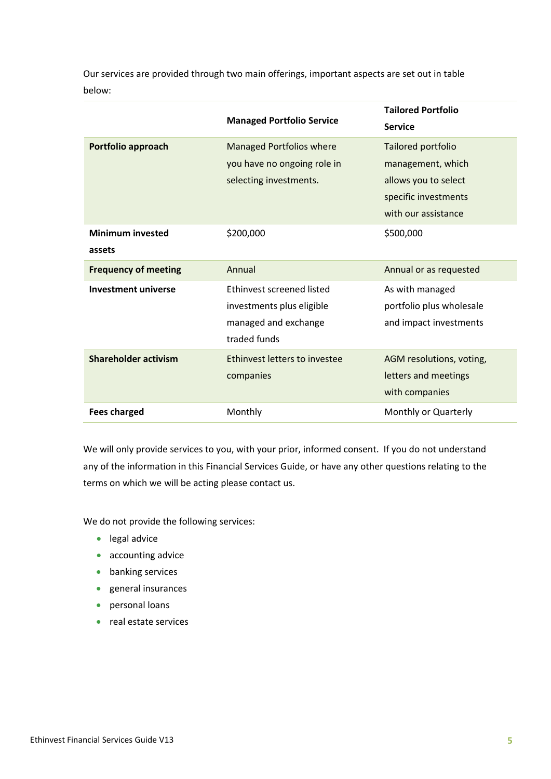Our services are provided through two main offerings, important aspects are set out in table below:

|                             |                                  | <b>Tailored Portfolio</b> |
|-----------------------------|----------------------------------|---------------------------|
|                             | <b>Managed Portfolio Service</b> | <b>Service</b>            |
| Portfolio approach          | Managed Portfolios where         | Tailored portfolio        |
|                             | you have no ongoing role in      | management, which         |
|                             | selecting investments.           | allows you to select      |
|                             |                                  | specific investments      |
|                             |                                  | with our assistance       |
| <b>Minimum invested</b>     | \$200,000                        | \$500,000                 |
| assets                      |                                  |                           |
| <b>Frequency of meeting</b> | Annual                           | Annual or as requested    |
| <b>Investment universe</b>  | Ethinvest screened listed        | As with managed           |
|                             | investments plus eligible        | portfolio plus wholesale  |
|                             | managed and exchange             | and impact investments    |
|                             | traded funds                     |                           |
| Shareholder activism        | Ethinvest letters to investee    | AGM resolutions, voting,  |
|                             | companies                        | letters and meetings      |
|                             |                                  | with companies            |
| <b>Fees charged</b>         | Monthly                          | Monthly or Quarterly      |

We will only provide services to you, with your prior, informed consent. If you do not understand any of the information in this Financial Services Guide, or have any other questions relating to the terms on which we will be acting please contact us.

We do not provide the following services:

- legal advice
- accounting advice
- banking services
- general insurances
- personal loans
- real estate services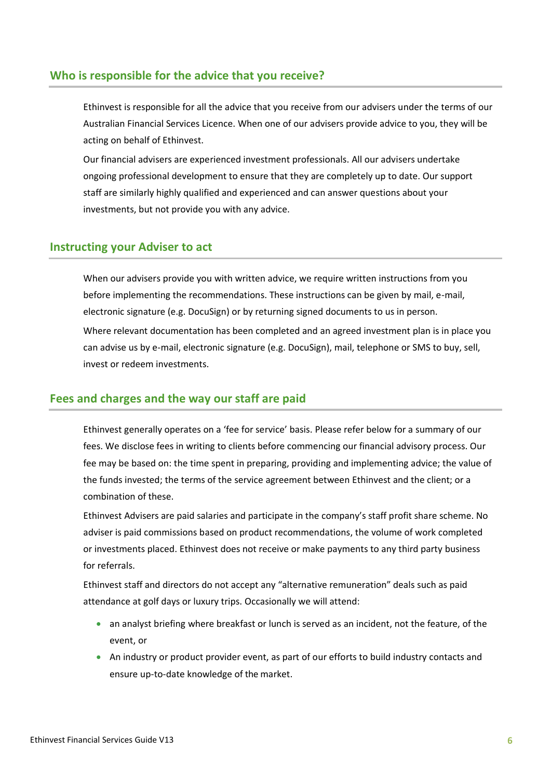## <span id="page-5-1"></span><span id="page-5-0"></span>**Who is responsible for the advice that you receive?**

Ethinvest is responsible for all the advice that you receive from our advisers under the terms of our Australian Financial Services Licence. When one of our advisers provide advice to you, they will be acting on behalf of Ethinvest.

Our financial advisers are experienced investment professionals. All our advisers undertake ongoing professional development to ensure that they are completely up to date. Our support staff are similarly highly qualified and experienced and can answer questions about your investments, but not provide you with any advice.

#### <span id="page-5-3"></span><span id="page-5-2"></span>**Instructing your Adviser to act**

When our advisers provide you with written advice, we require written instructions from you before implementing the recommendations. These instructions can be given by mail, e-mail, electronic signature (e.g. DocuSign) or by returning signed documents to us in person. Where relevant documentation has been completed and an agreed investment plan is in place you can advise us by e-mail, electronic signature (e.g. DocuSign), mail, telephone or SMS to buy, sell, invest or redeem investments.

#### <span id="page-5-5"></span>**Fees and charges and the way our staff are paid**

<span id="page-5-4"></span>Ethinvest generally operates on a 'fee for service' basis. Please refer below for a summary of our fees. We disclose fees in writing to clients before commencing our financial advisory process. Our fee may be based on: the time spent in preparing, providing and implementing advice; the value of the funds invested; the terms of the service agreement between Ethinvest and the client; or a combination of these.

Ethinvest Advisers are paid salaries and participate in the company's staff profit share scheme. No adviser is paid commissions based on product recommendations, the volume of work completed or investments placed. Ethinvest does not receive or make payments to any third party business for referrals.

Ethinvest staff and directors do not accept any "alternative remuneration" deals such as paid attendance at golf days or luxury trips. Occasionally we will attend:

- an analyst briefing where breakfast or lunch is served as an incident, not the feature, of the event, or
- An industry or product provider event, as part of our efforts to build industry contacts and ensure up-to-date knowledge of the market.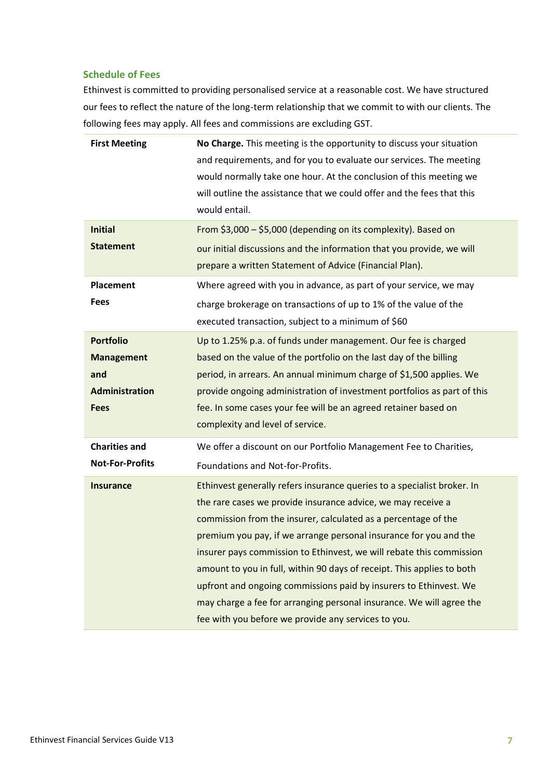#### **Schedule of Fees**

Ethinvest is committed to providing personalised service at a reasonable cost. We have structured our fees to reflect the nature of the long-term relationship that we commit to with our clients. The following fees may apply. All fees and commissions are excluding GST.

| <b>First Meeting</b><br><b>Initial</b><br><b>Statement</b> | No Charge. This meeting is the opportunity to discuss your situation<br>and requirements, and for you to evaluate our services. The meeting<br>would normally take one hour. At the conclusion of this meeting we<br>will outline the assistance that we could offer and the fees that this<br>would entail.<br>From \$3,000 - \$5,000 (depending on its complexity). Based on<br>our initial discussions and the information that you provide, we will<br>prepare a written Statement of Advice (Financial Plan). |
|------------------------------------------------------------|--------------------------------------------------------------------------------------------------------------------------------------------------------------------------------------------------------------------------------------------------------------------------------------------------------------------------------------------------------------------------------------------------------------------------------------------------------------------------------------------------------------------|
| Placement                                                  | Where agreed with you in advance, as part of your service, we may                                                                                                                                                                                                                                                                                                                                                                                                                                                  |
| <b>Fees</b>                                                | charge brokerage on transactions of up to 1% of the value of the<br>executed transaction, subject to a minimum of \$60                                                                                                                                                                                                                                                                                                                                                                                             |
| <b>Portfolio</b>                                           | Up to 1.25% p.a. of funds under management. Our fee is charged                                                                                                                                                                                                                                                                                                                                                                                                                                                     |
| <b>Management</b>                                          | based on the value of the portfolio on the last day of the billing                                                                                                                                                                                                                                                                                                                                                                                                                                                 |
| and                                                        | period, in arrears. An annual minimum charge of \$1,500 applies. We                                                                                                                                                                                                                                                                                                                                                                                                                                                |
| <b>Administration</b><br><b>Fees</b>                       | provide ongoing administration of investment portfolios as part of this<br>fee. In some cases your fee will be an agreed retainer based on                                                                                                                                                                                                                                                                                                                                                                         |
|                                                            | complexity and level of service.                                                                                                                                                                                                                                                                                                                                                                                                                                                                                   |
| <b>Charities and</b>                                       | We offer a discount on our Portfolio Management Fee to Charities,                                                                                                                                                                                                                                                                                                                                                                                                                                                  |
| <b>Not-For-Profits</b>                                     | Foundations and Not-for-Profits.                                                                                                                                                                                                                                                                                                                                                                                                                                                                                   |
| <b>Insurance</b>                                           | Ethinvest generally refers insurance queries to a specialist broker. In                                                                                                                                                                                                                                                                                                                                                                                                                                            |
|                                                            | the rare cases we provide insurance advice, we may receive a                                                                                                                                                                                                                                                                                                                                                                                                                                                       |
|                                                            | commission from the insurer, calculated as a percentage of the                                                                                                                                                                                                                                                                                                                                                                                                                                                     |
|                                                            | premium you pay, if we arrange personal insurance for you and the                                                                                                                                                                                                                                                                                                                                                                                                                                                  |
|                                                            | insurer pays commission to Ethinvest, we will rebate this commission                                                                                                                                                                                                                                                                                                                                                                                                                                               |
|                                                            | amount to you in full, within 90 days of receipt. This applies to both                                                                                                                                                                                                                                                                                                                                                                                                                                             |
|                                                            | upfront and ongoing commissions paid by insurers to Ethinvest. We<br>may charge a fee for arranging personal insurance. We will agree the                                                                                                                                                                                                                                                                                                                                                                          |
|                                                            | fee with you before we provide any services to you.                                                                                                                                                                                                                                                                                                                                                                                                                                                                |
|                                                            |                                                                                                                                                                                                                                                                                                                                                                                                                                                                                                                    |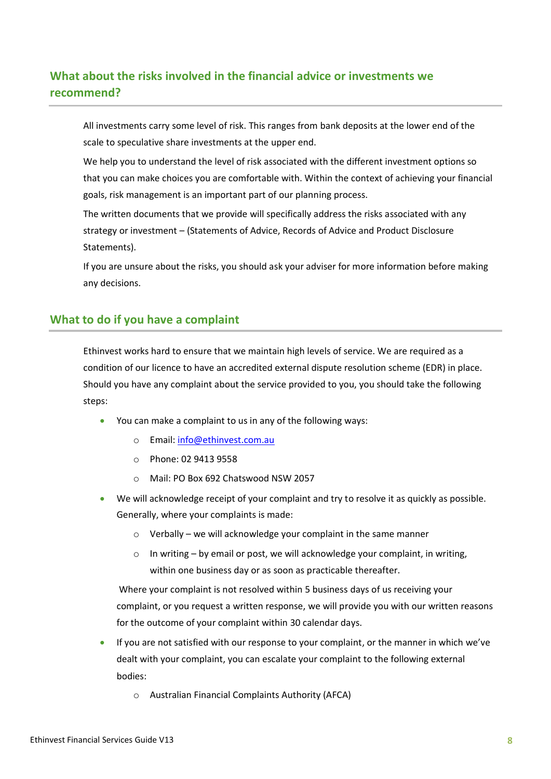# <span id="page-7-1"></span><span id="page-7-0"></span>**What about the risks involved in the financial advice or investments we recommend?**

All investments carry some level of risk. This ranges from bank deposits at the lower end of the scale to speculative share investments at the upper end.

We help you to understand the level of risk associated with the different investment options so that you can make choices you are comfortable with. Within the context of achieving your financial goals, risk management is an important part of our planning process.

The written documents that we provide will specifically address the risks associated with any strategy or investment – (Statements of Advice, Records of Advice and Product Disclosure Statements).

If you are unsure about the risks, you should ask your adviser for more information before making any decisions.

## <span id="page-7-3"></span><span id="page-7-2"></span>**What to do if you have a complaint**

Ethinvest works hard to ensure that we maintain high levels of service. We are required as a condition of our licence to have an accredited external dispute resolution scheme (EDR) in place. Should you have any complaint about the service provided to you, you should take the following steps:

- You can make a complaint to us in any of the following ways:
	- o Email: [info@ethinvest.com.au](mailto:info@ethinvest.com.au)
	- o Phone: 02 9413 9558
	- o Mail: PO Box 692 Chatswood NSW 2057
- We will acknowledge receipt of your complaint and try to resolve it as quickly as possible. Generally, where your complaints is made:
	- o Verbally we will acknowledge your complaint in the same manner
	- o In writing by email or post, we will acknowledge your complaint, in writing, within one business day or as soon as practicable thereafter.

Where your complaint is not resolved within 5 business days of us receiving your complaint, or you request a written response, we will provide you with our written reasons for the outcome of your complaint within 30 calendar days.

- If you are not satisfied with our response to your complaint, or the manner in which we've dealt with your complaint, you can escalate your complaint to the following external bodies:
	- o Australian Financial Complaints Authority (AFCA)